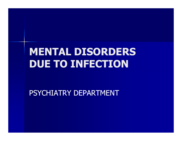# MENTAL DISORDERS DUE TO INFECTION

PSYCHIATRY DEPARTMENT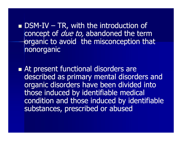**DSM-IV – TR, with the introduction of** <br>concept of *due to*, abandoned the tern concept of *due to*, abandoned the term organic to avoid the misconception that nonorganic

At present functional disorders are described as primary mental disorders and organic disorders have been divided into those induced by identifiable medical condition and those induced by identifiable substances, prescribed or abused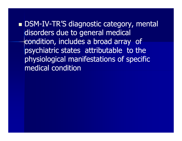■ DSM-IV-TR'S diagnostic category, mental disorders due to general medical condition, includes a broad array of psychiatric states attributable to the physiological manifestations of specific medical condition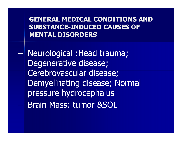GENERAL MEDICAL CONDITIONS AND SUBSTANCE-INDUCED CAUSES OF MENTAL DISORDERS

Neurological :Head trauma;<br>Degenerative disease: Degenerative disease; Cerebrovascular disease; Demyelinating disease; Normal pressure hydrocephalus $\mathcal{L}_{\mathcal{A}}$ Brain Mass: tumor &SOL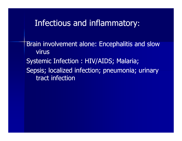#### Infectious and inflammatory:

Brain involvement alone: Encephalitis and slow virusSystemic Infection : HIV/AIDS; Malaria;Sepsis; localized infection; pneumonia; urinary tract infection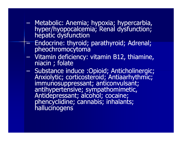- Metabolic: Anemia; hypoxia; hypercarbia, hyper/hyopocalcemia; Renal dysfunction; hepatic dysfunction;
- $\mathcal{L}_{\mathcal{A}}$ Endocrine: thyroid; parathyroid; Adrenal;<br>pheochromocytoma pheochromocytoma
- –Vitamin deficiency: vitamin B12, thiamine, niacin ; folate
- $\mathcal{L}_{\mathcal{A}}$  , where  $\mathcal{L}_{\mathcal{A}}$  is the set of the set of the set of the set of the set of the set of the set of the set of the set of the set of the set of the set of the set of the set of the set of the set of the – Substance induce :Opioid; Anticholinergic;<br>Anxiolytic; corticosteroid; Antiaarhythmic; immunosuppressant; anticonvulsant; antihypertensive; sympathomimetic, Antidepressant; alcohol; cocaine; phencyclidine; cannabis; inhalants; hallucinogens<sup>'</sup>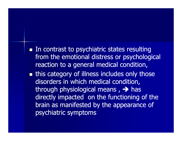■ In contrast to psychiatric states resulting from the emotional distress or psychological reaction to a general medical condition,

**n** this category of illness includes only those disorders in which medical condition, through physiological means ,  $\rightarrow$  has<br>directly imnacted, on the functioning a directly impacted on the functioning of the brain as manifested by the appearance of psychiatric symptoms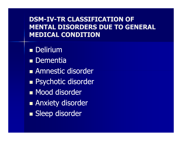#### DSM-IV-TR CLASSIFICATION OF MENTAL DISORDERS DUE TO GENERAL MEDICAL CONDITION

■ Delirium ■ Dementia Amnestic disorder ■ Psychotic disorder ■ Mood disorder Anxiety disorder ■ Sleep disorder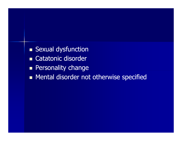- **Sexual dysfunction**
- Catatonic disorder
- **Representative change**
- Mental disorder not otherwise specified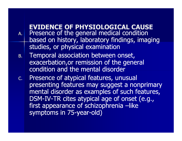#### EVIDENCE OF PHYSIOLOGICAL CAUSE

- $A.$  Presence of the general medical condition based on history, laboratory findings, imaging studies, or physical examination
- . Temporal association between onset, B. exacerbation,or remission of the general condition and the mental disorder
- C. Presence of atypical features, unusual presenting features may suggest a nonprimary mental disorder as examples of such features, DSM-IV-TR cites atypical age of onset (e.g., first appearance of schizophrenia –like symptoms in 75-year-old)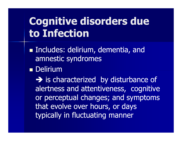# Cognitive disorders due to Infection

- **Includes: delirium, dementia, and** amnestic syndromes
- Delirium

 - is characterized by disturbance of alertness and attentiveness, cognitive or perceptual changes; and symptoms that evolve over hours, or days typically in fluctuating manner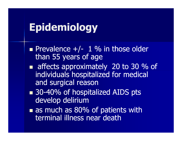# Epidemiology

- Prevalence  $+/-$  1 % in those older<br>than 55 years of age than 55 years of age
- affects approximately 20 to 30 % of individuals hospitalized for medical and surgical reason
- 30-40% of hospitalized AIDS pts develop delirium
- **Tras much as 80** as much as 80% of patients with terminal illness near death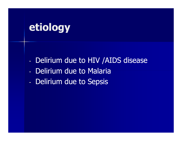# etiology

- Delirium due to HIV /AIDS disease
- Delirium due to Malaria
- Delirium due to Sepsis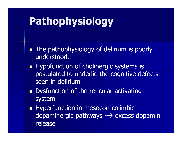# Pathophysiology

- **The pathophysiology of delirium is poorly** understood.
- Hypofunction of cholinergic systems is postulated to underlie the cognitive defects seen in delirium
- **Dystunction of Dysfunction of the reticular activating** system
- **H** Hype Hyperfunction in mesocorticolimbic dopaminergic pathways --> excess dopamin<br>release release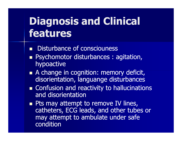# Diagnosis and Clinical features

- ■ Disturbance of consciouness
- **Psychomotor disturbances : agitation,** hypoactive
- A change in cognition: memory deficit, disorientation, languange disturbances
- Confusion and reactivity to hallucinations and disorientation
- Pts may attempt to remove IV lines, catheters, ECG leads, and other tubes or may attempt to ambulate under safe condition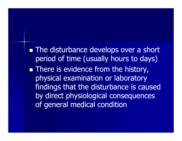■ The disturbance develops over a short period of time (usually hours to days)

**There is evidence from the history,** physical examination or laboratory findings that the disturbance is caused by direct physiological consequences of general medical condition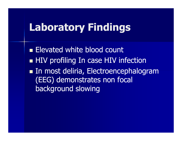### Laboratory Findings

**Elevated white blood count** ■ HIV profiling In case HIV infection In most deliria, Electroencephalogram (EEG) demonstrates non focal background slowing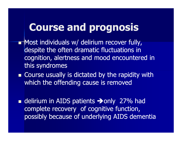## Course and prognosis

- Most individuals w/ delirium recover fully, despite the often dramatic fluctuations in cognition, alertness and mood encountered in this syndromes
- Course usually is dictated by the rapidity with which the offending cause is removed
- **delirium in AIDS patients**  $\rightarrow$  **only 27% had** complete recovery of cognitive function, possibly because of underlying AIDS dementia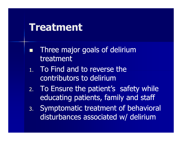#### Treatment

- $\Box$  Three major goals of delirium treatment
- 1. To Find and to reverse the contributors to delirium
- 2. To Ensure the patient's safety while educating patients, family and staff
- 3. Symptomatic treatment of behavioral disturbances associated w/ delirium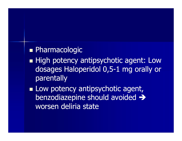#### ■ Pharmacologic

- High potency antipsychotic agent: Low dosages Haloperidol 0,5-1 mg orally or parentally
- **Low potency antipsychotic agent,** benzodiazepine should avoided > worsen deliria state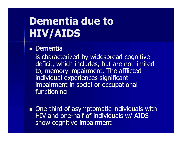# Dementia due to HIV/AIDS

#### ■ Dementia

is characterized by widespread cognitive deficit, which includes, but are not limited to, memory impairment. The afflicted individual experiences significant impairment in social or occupational functioning

One-third of asymptomatic individuals with HIV and one-half of individuals w/ AIDS show cognitive impairment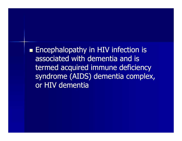**Encephalopathy in HIV infection is** associated with dementia and is termed acquired immune deficiency syndrome (AIDS) dementia complex, or HIV dementia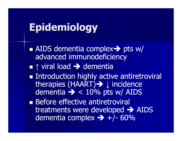# Epidemiology

- AIDS dementia complex→ pts w/<br>advanced immunodeficiency advanced immunodeficiency
- ■↑ viral load → dementia<br>■ Introduction bighly activ
- Introduction highly active antiretroviral therapies (HAART)→ ↓ incidence dementia - < 10% pts w/ AIDS
- Before effective antiretroviral treatments were developed > AIDS<br>dementia complex -> +/- 60% dementia complex → +/- 60%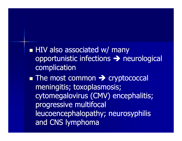HIV also associated w/ many opportunistic infections - neurological complication

■ The most common → cryptococcal<br>meningitis: toxonlasmosis: meningitis; toxoplasmosis; cytomegalovirus (CMV) encephalitis; progressive multifocal leucoencephalopathy; neurosyphilis and CNS lymphoma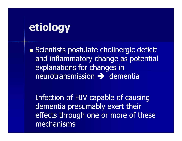### etiology

Scientists postulate cholinergic deficit and inflammatory change as potential explanations for changes in neurotransmission - dementia

Infection of HIV capable of causing dementia presumably exert their effects through one or more of these mechanisms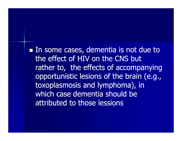In some cases, dementia is not due to the effect of HIV on the CNS but rather to, the effects of accompanying opportunistic lesions of the brain (e.g., toxoplasmosis and lymphoma), in which case dementia should be attributed to those lessions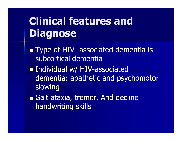# Clinical features and Diagnose

- Type of HIV- associated dementia is<br>subcortical dementia subcortical dementia
- Individual w/ HIV-associated dementia: apathetic and psychomotor slowing
- Gait ataxia, tremor. And decline handwriting skills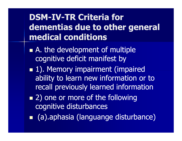#### **DSM-IV-TR Criteria for** dementias due to other general medical conditions

- A. the development of multiple cognitive deficit manifest by
- **1). Memory impairment (impaired** ability to learn new information or to recall previously learned information
- 2) one or more of the following cognitive disturbances
- (a).aphasia (languange disturbance)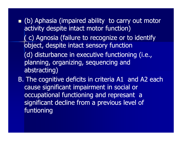**(b)** Aphasia (impaired ability to carry out motor activity despite intact motor function)( c) Agnosia (failure to recognize or to identify object, despite intact sensory function(d) disturbance in executive functioning (i.e., planning, organizing, sequencing and abstracting)

B. The cognitive deficits in criteria A1 and A2 each cause significant impairment in social or occupational functioning and represant a significant decline from a previous level of funtioning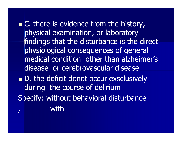$\blacksquare$  C. there is evidence from the history, physical examination, or laboratory findings that the disturbance is the direct physiological consequences of general medical condition other than alzheimer's disease or cerebrovascular disease■ D. the deficit donot occur exsclusively during the course of delirium Specify: without behavioral disturbance, with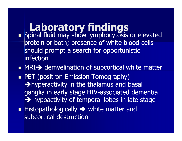### Laboratory findings

- **I S**DINAL HUID MAV SNOW IVMDNOCYLOS **Spinal fluid may show lymphocytosis or elevated** protein or both; presence of white blood cells should prompt a search for opportunistic infection
- MRI→ demyelination of subcortical white matter<br>- PET (positren Emission Temesraphy)
- ■ PET (positron Emission Tomography) -hyperactivity in the thalamus and basal ganglia in early stage HIV-associated dementia A hypoactivity of temporal lobes in late stage
- Histopathologically → white matter and<br>subcortical destruction subcortical destruction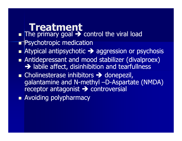#### Treatment

- ■ The primary goal → control the viral load<br>■ Psychotronic medication
- Psychotropic medication
- Atypical antipsychotic aggression or psychosis
- **Antidepressant and mood stabilizer (divalproex)** - labile affect, disinhibition and tearfullness
- Cholinesterase inhibitors → donepezil,<br>| aalantamine and N-methyl -D-Aspartat galantamine and N-methyl –D-Aspartate (NMDA) receptor antagonist > controversial<br>Avoiding polynharmacy
- **• Avoiding polypharmacy**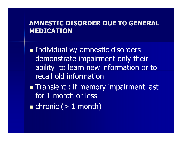#### AMNESTIC DISORDER DUE TO GENERAL MEDICATION

■ Individual w/ amnestic disorders demonstrate impairment only their ability to learn new information or to recall old information

**Transient : if memory impairment last** for 1 month or less

 $\blacksquare$  chronic (> 1 month)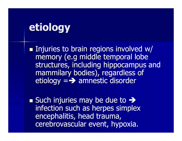### etiology

Injuries to brain regions involved w/ memory (e.g middle temporal lobe structures, including hippocampus and mammilary bodies), regardless of etiology =- amnestic disorder

Such injuries may be due to  $\rightarrow$  infection such as herpes simplex encephalitis, head trauma, cerebrovascular event, hypoxia.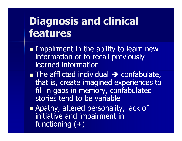# Diagnosis and clinical features

- Impairment in the ability to learn new information or to recall previously learned information
- $\blacksquare$  The afflicted individual  $\rightarrow$ The afflicted individual  $\rightarrow$  confabulate,<br>that is, create imagined experiences to fill in gaps in memory, confabulated stories tend to be variable
- Apathy, altered personality, lack of initiative and impairment in functioning  $(+)$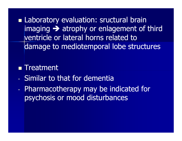**Laboratory evaluation: sructural brain** imaging - atrophy or enlagement of third ventricle or lateral horns related to damage to mediotemporal lobe structures

#### ■ Treatment

- Similar to that for dementia
- Pharmacotherapy may be indicated for psychosis or mood disturbances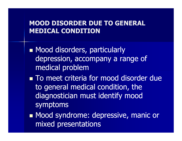#### MOOD DISORDER DUE TO GENERAL MEDICAL CONDITION

■ Mood disorders, particularly depression, accompany a range of medical problem

u To meet criteri ■ To meet criteria for mood disorder due to general medical condition, the diagnostician must identify mood symptoms

■ Mood syndrome: depressive, manic or mixed presentations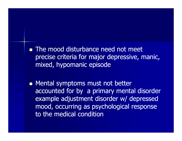■ The mood disturbance need not meet precise criteria for major depressive, manic, mixed, hypomanic episode

**Mental symptoms must not better** accounted for by a primary mental disorder example adjustment disorder w/ depressed mood, occurring as psychological response to the medical condition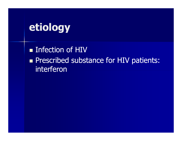# etiology

**Exercise Infection of HIV Prescribed substance for HIV patients:** interferon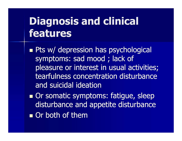# Diagnosis and clinical features

**Pts w/ depression has psychological** symptoms: sad mood ; lack of pleasure or interest in usual activities; tearfulness concentration disturbance and suicidal ideation

Or somatic symptoms: fatigue, sleep disturbance and appetite disturbance**Or both of them**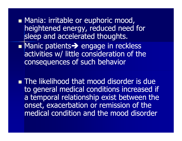- **Mania: irritable or euphoric mood,** heightened energy, reduced need for sleep and accelerated thoughts.
- Manic patients-> Manic patients > engage in reckless<br>activities w/ little consideration of the consequences of such behavior
- The likelihood that mood disorder is due to general medical conditions increased if a temporal relationship exist between the onset, exacerbation or remission of the medical condition and the mood disorder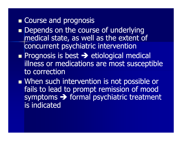#### **Exercise and prognosis**

- Depends on the course of underlying medical state, as well as the extent of concurrent psychiatric intervention
- **Prognosis is best >>** etiological medical<br>illness or medications are most suscepti illness or medications are most susceptible to correction
- When such intervention is not possible or fails to lead to prompt remission of mood symptoms  $\rightarrow$  formal psychiatric treatment<br>is indicated is indicated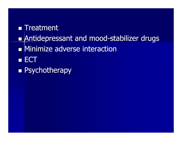#### $\blacksquare$  Treatment

- $\Box$ **Rantidepressant and mood-stabilizer drugs** <a>
- **•** Minimize adverse interaction
- $\blacksquare$  ECT
- **Report Psychotherapy**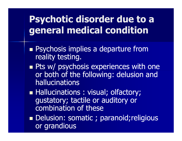### Psychotic disorder due to a general medical condition

- **Psychosis implies a departure from** reality testing.
- Pts w/ psychosis experiences with one or both of the following: delusion and hallucinations
- Hallucinations : visual; olfactory; gustatory; tactile or auditory or combination of these
- Delusion: somatic ; paranoid; religious or grandious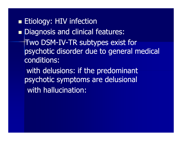**= Etiology: HIV infection**  $\Box$  Diagnosis and clinical features: Two DSM-IV-TR subtypes exist for<br>Ravehotic disarder due to general m psychotic disorder due to general medical conditions:with delusions: if the predominant

psychotic symptoms are delusionalwith hallucination: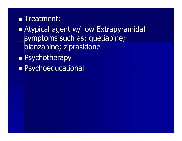#### ■ Treatment:

- **Atypical agent w/ low Extrapyramidal** symptoms such as: quetiapine; olanzapine; ziprasidone
- **Report Psychotherapy**
- **Representational**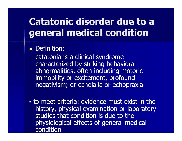#### Catatonic disorder due to a general medical condition

#### **Definition:**

catatonia is a clinical syndrome characterized by striking behavioral abnormalities, often including motoric immobility or excitement, profound negativism; or echolalia or echopraxia

 to meet criteria: evidence must exist in the history, physical examination or laboratory studies that condition is due to the physiological effects of general medical condition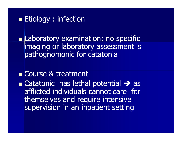#### **Etiology : infection**

**Laboratory examination: no specific** imaging or laboratory assessment is pathognomonic for catatonia

#### **Example 2 Course & treatment**

Gatatonic has lethal potential  $\rightarrow$ **Catatonic has lethal potential -> as<br>afflicted individuals cannot care for** themselves and require intensive supervision in an inpatient setting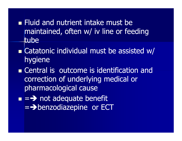- Fluid and nutrient intake must be maintained, often w/ iv line or feeding tube
- **Example 12 Catatonic individual must be assisted w/** hygiene
- **Example 12 Central is outcome is identification and** correction of underlying medical or pharmacological cause
- $\blacksquare$  =  $\blacktriangleright$  not adequate benefit<br>=  $\blacktriangleright$  henzodiazenine or FC  $=$  > benzodiazepine or ECT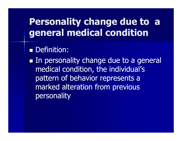#### Personality change due to a general medical condition

#### **Definition:**

In personality change due to a general medical condition, the individual's pattern of behavior represents a marked alteration from previous personality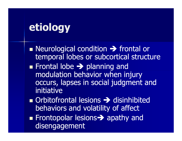### etiology

Neurological condition Neurological condition  $\rightarrow$  frontal or<br>temporal lobes or subcortical structure

- **Frontal lobe > planning and**<br>modulation behavior when in modulation behavior when injury occurs, lapses in social judgment and initiative
- **n** Orbitofrontal lesions  $\rightarrow$  disinhibited<br>behaviors and volatility of affect behaviors and volatility of affect
- **Example 18 Frontopolar lesions >>** apathy and<br>disengagement disengagement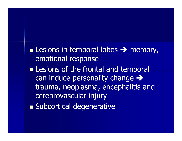■ Lesions in temporal lobes → memory,<br>emotional response emotional response

- **Lesions of the frontal and temporal** can induce personality change  $\rightarrow$ trauma, neoplasma, encephalitis and cerebrovascular injury
- Subcortical degenerative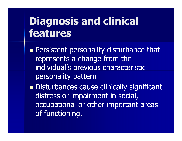# Diagnosis and clinical features

**Persistent personality disturbance that** represents a change from the individual's previous characteristic personality pattern

Disturbances cause clinically significant distress or impairment in social, occupational or other important areas of functioning.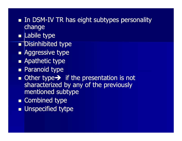- In DSM-IV TR has eight subtypes personality change
- **E** Labile type
- **Disinhibited type**  $\Box$
- **Aggressive type**
- **Apathetic type**
- **Paranoid type**
- Other type → if the presentation is not<br>sharacterized by any of the previously sharacterized by any of the previously mentioned subtype
- Combined type
- **N** Unspecified tytpe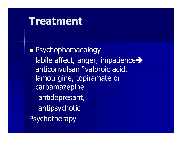#### Treatment

■ Psychophamacology labile affect, anger, impatience  $\rightarrow$ anticonvulsan "valproic acid, lamotrigine, topiramate or carbamazepineantidepresant,antipsychotic**Psychotherapy**